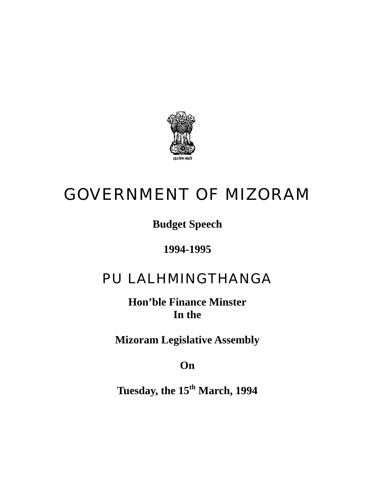

# GOVERNMENT OF MIZORAM

## **Budget Speech**

### **1994-1995**

## PU LALHMINGTHANGA

**Hon'ble Finance Minster In the** 

**Mizoram Legislative Assembly** 

**On** 

**Tuesday, the 15th March, 1994**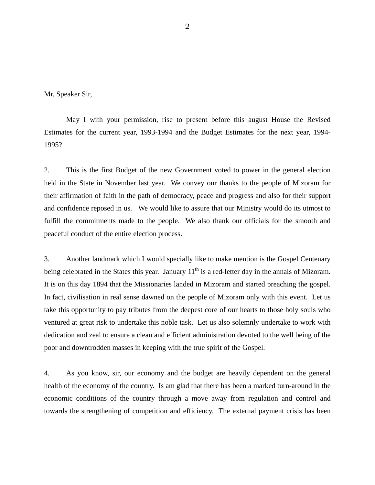Mr. Speaker Sir,

May I with your permission, rise to present before this august House the Revised Estimates for the current year, 1993-1994 and the Budget Estimates for the next year, 1994- 1995?

2. This is the first Budget of the new Government voted to power in the general election held in the State in November last year. We convey our thanks to the people of Mizoram for their affirmation of faith in the path of democracy, peace and progress and also for their support and confidence reposed in us. We would like to assure that our Ministry would do its utmost to fulfill the commitments made to the people. We also thank our officials for the smooth and peaceful conduct of the entire election process.

3. Another landmark which I would specially like to make mention is the Gospel Centenary being celebrated in the States this year. January  $11<sup>th</sup>$  is a red-letter day in the annals of Mizoram. It is on this day 1894 that the Missionaries landed in Mizoram and started preaching the gospel. In fact, civilisation in real sense dawned on the people of Mizoram only with this event. Let us take this opportunity to pay tributes from the deepest core of our hearts to those holy souls who ventured at great risk to undertake this noble task. Let us also solemnly undertake to work with dedication and zeal to ensure a clean and efficient administration devoted to the well being of the poor and downtrodden masses in keeping with the true spirit of the Gospel.

4. As you know, sir, our economy and the budget are heavily dependent on the general health of the economy of the country. Is am glad that there has been a marked turn-around in the economic conditions of the country through a move away from regulation and control and towards the strengthening of competition and efficiency. The external payment crisis has been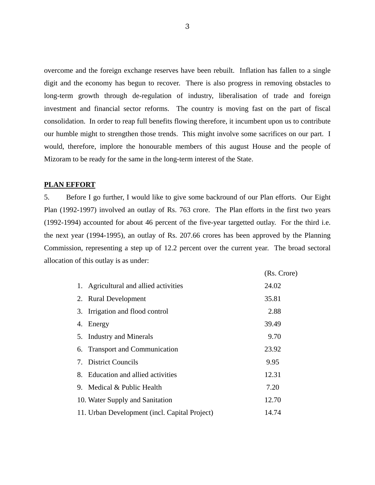overcome and the foreign exchange reserves have been rebuilt. Inflation has fallen to a single digit and the economy has begun to recover. There is also progress in removing obstacles to long-term growth through de-regulation of industry, liberalisation of trade and foreign investment and financial sector reforms. The country is moving fast on the part of fiscal consolidation. In order to reap full benefits flowing therefore, it incumbent upon us to contribute our humble might to strengthen those trends. This might involve some sacrifices on our part. I would, therefore, implore the honourable members of this august House and the people of Mizoram to be ready for the same in the long-term interest of the State.

#### **PLAN EFFORT**

5. Before I go further, I would like to give some backround of our Plan efforts. Our Eight Plan (1992-1997) involved an outlay of Rs. 763 crore. The Plan efforts in the first two years (1992-1994) accounted for about 46 percent of the five-year targetted outlay. For the third i.e. the next year (1994-1995), an outlay of Rs. 207.66 crores has been approved by the Planning Commission, representing a step up of 12.2 percent over the current year. The broad sectoral allocation of this outlay is as under:

|                                               | (Rs. Crore) |
|-----------------------------------------------|-------------|
| 1. Agricultural and allied activities         | 24.02       |
| 2. Rural Development                          | 35.81       |
| 3. Irrigation and flood control               | 2.88        |
| 4. Energy                                     | 39.49       |
| 5. Industry and Minerals                      | 9.70        |
| 6. Transport and Communication                | 23.92       |
| 7. District Councils                          | 9.95        |
| 8. Education and allied activities            | 12.31       |
| 9. Medical & Public Health                    | 7.20        |
| 10. Water Supply and Sanitation               | 12.70       |
| 11. Urban Development (incl. Capital Project) | 14.74       |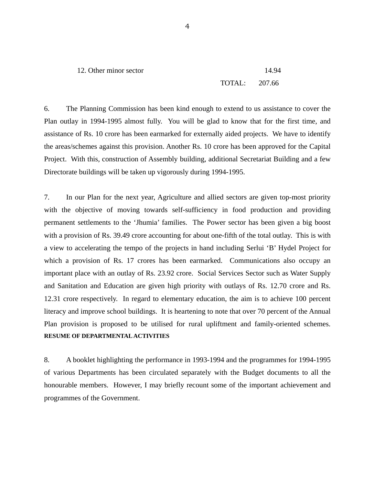12. Other minor sector 14.94 TOTAL: 207.66

6. The Planning Commission has been kind enough to extend to us assistance to cover the Plan outlay in 1994-1995 almost fully. You will be glad to know that for the first time, and assistance of Rs. 10 crore has been earmarked for externally aided projects. We have to identify the areas/schemes against this provision. Another Rs. 10 crore has been approved for the Capital Project. With this, construction of Assembly building, additional Secretariat Building and a few Directorate buildings will be taken up vigorously during 1994-1995.

7. In our Plan for the next year, Agriculture and allied sectors are given top-most priority with the objective of moving towards self-sufficiency in food production and providing permanent settlements to the 'Jhumia' families. The Power sector has been given a big boost with a provision of Rs. 39.49 crore accounting for about one-fifth of the total outlay. This is with a view to accelerating the tempo of the projects in hand including Serlui 'B' Hydel Project for which a provision of Rs. 17 crores has been earmarked. Communications also occupy an important place with an outlay of Rs. 23.92 crore. Social Services Sector such as Water Supply and Sanitation and Education are given high priority with outlays of Rs. 12.70 crore and Rs. 12.31 crore respectively. In regard to elementary education, the aim is to achieve 100 percent literacy and improve school buildings. It is heartening to note that over 70 percent of the Annual Plan provision is proposed to be utilised for rural upliftment and family-oriented schemes. **RESUME OF DEPARTMENTAL ACTIVITIES**

8. A booklet highlighting the performance in 1993-1994 and the programmes for 1994-1995 of various Departments has been circulated separately with the Budget documents to all the honourable members. However, I may briefly recount some of the important achievement and programmes of the Government.

4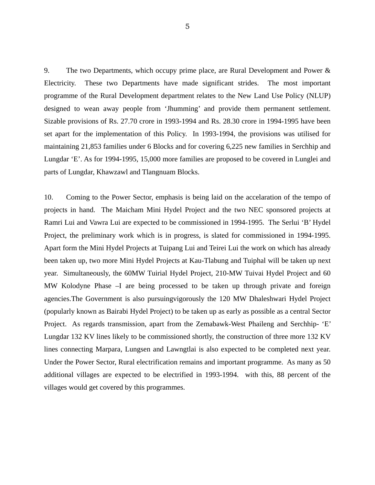9. The two Departments, which occupy prime place, are Rural Development and Power & Electricity. These two Departments have made significant strides. The most important programme of the Rural Development department relates to the New Land Use Policy (NLUP) designed to wean away people from 'Jhumming' and provide them permanent settlement. Sizable provisions of Rs. 27.70 crore in 1993-1994 and Rs. 28.30 crore in 1994-1995 have been set apart for the implementation of this Policy. In 1993-1994, the provisions was utilised for maintaining 21,853 families under 6 Blocks and for covering 6,225 new families in Serchhip and Lungdar 'E'. As for 1994-1995, 15,000 more families are proposed to be covered in Lunglei and parts of Lungdar, Khawzawl and Tlangnuam Blocks.

10. Coming to the Power Sector, emphasis is being laid on the accelaration of the tempo of projects in hand. The Maicham Mini Hydel Project and the two NEC sponsored projects at Ramri Lui and Vawra Lui are expected to be commissioned in 1994-1995. The Serlui 'B' Hydel Project, the preliminary work which is in progress, is slated for commissioned in 1994-1995. Apart form the Mini Hydel Projects at Tuipang Lui and Teirei Lui the work on which has already been taken up, two more Mini Hydel Projects at Kau-Tlabung and Tuiphal will be taken up next year. Simultaneously, the 60MW Tuirial Hydel Project, 210-MW Tuivai Hydel Project and 60 MW Kolodyne Phase –I are being processed to be taken up through private and foreign agencies.The Government is also pursuingvigorously the 120 MW Dhaleshwari Hydel Project (popularly known as Bairabi Hydel Project) to be taken up as early as possible as a central Sector Project. As regards transmission, apart from the Zemabawk-West Phaileng and Serchhip- 'E' Lungdar 132 KV lines likely to be commissioned shortly, the construction of three more 132 KV lines connecting Marpara, Lungsen and Lawngtlai is also expected to be completed next year. Under the Power Sector, Rural electrification remains and important programme. As many as 50 additional villages are expected to be electrified in 1993-1994. with this, 88 percent of the villages would get covered by this programmes.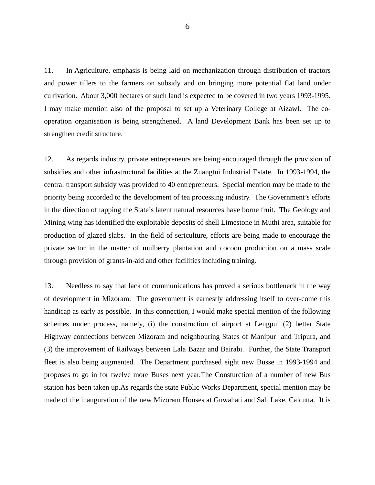11. In Agriculture, emphasis is being laid on mechanization through distribution of tractors and power tillers to the farmers on subsidy and on bringing more potential flat land under cultivation. About 3,000 hectares of such land is expected to be covered in two years 1993-1995. I may make mention also of the proposal to set up a Veterinary College at Aizawl. The cooperation organisation is being strengthened. A land Development Bank has been set up to strengthen credit structure.

12. As regards industry, private entrepreneurs are being encouraged through the provision of subsidies and other infrastructural facilities at the Zuangtui Industrial Estate. In 1993-1994, the central transport subsidy was provided to 40 entrepreneurs. Special mention may be made to the priority being accorded to the development of tea processing industry. The Government's efforts in the direction of tapping the State's latent natural resources have borne fruit. The Geology and Mining wing has identified the exploitable deposits of shell Limestone in Muthi area, suitable for production of glazed slabs. In the field of sericulture, efforts are being made to encourage the private sector in the matter of mulberry plantation and cocoon production on a mass scale through provision of grants-in-aid and other facilities including training.

13. Needless to say that lack of communications has proved a serious bottleneck in the way of development in Mizoram. The government is earnestly addressing itself to over-come this handicap as early as possible. In this connection, I would make special mention of the following schemes under process, namely, (i) the construction of airport at Lengpui (2) better State Highway connections between Mizoram and neighbouring States of Manipur and Tripura, and (3) the improvement of Railways between Lala Bazar and Bairabi. Further, the State Transport fleet is also being augmented. The Department purchased eight new Busse in 1993-1994 and proposes to go in for twelve more Buses next year.The Consturction of a number of new Bus station has been taken up.As regards the state Public Works Department, special mention may be made of the inauguration of the new Mizoram Houses at Guwahati and Salt Lake, Calcutta. It is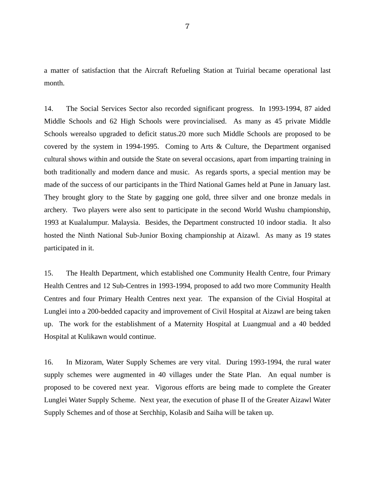a matter of satisfaction that the Aircraft Refueling Station at Tuirial became operational last month.

14. The Social Services Sector also recorded significant progress. In 1993-1994, 87 aided Middle Schools and 62 High Schools were provincialised. As many as 45 private Middle Schools werealso upgraded to deficit status.20 more such Middle Schools are proposed to be covered by the system in 1994-1995. Coming to Arts & Culture, the Department organised cultural shows within and outside the State on several occasions, apart from imparting training in both traditionally and modern dance and music. As regards sports, a special mention may be made of the success of our participants in the Third National Games held at Pune in January last. They brought glory to the State by gagging one gold, three silver and one bronze medals in archery. Two players were also sent to participate in the second World Wushu championship, 1993 at Kualalumpur. Malaysia. Besides, the Department constructed 10 indoor stadia. It also hosted the Ninth National Sub-Junior Boxing championship at Aizawl. As many as 19 states participated in it.

15. The Health Department, which established one Community Health Centre, four Primary Health Centres and 12 Sub-Centres in 1993-1994, proposed to add two more Community Health Centres and four Primary Health Centres next year. The expansion of the Civial Hospital at Lunglei into a 200-bedded capacity and improvement of Civil Hospital at Aizawl are being taken up. The work for the establishment of a Maternity Hospital at Luangmual and a 40 bedded Hospital at Kulikawn would continue.

16. In Mizoram, Water Supply Schemes are very vital. During 1993-1994, the rural water supply schemes were augmented in 40 villages under the State Plan. An equal number is proposed to be covered next year. Vigorous efforts are being made to complete the Greater Lunglei Water Supply Scheme. Next year, the execution of phase II of the Greater Aizawl Water Supply Schemes and of those at Serchhip, Kolasib and Saiha will be taken up.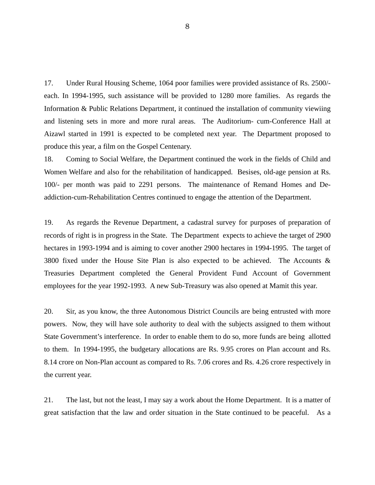17. Under Rural Housing Scheme, 1064 poor families were provided assistance of Rs. 2500/ each. In 1994-1995, such assistance will be provided to 1280 more families. As regards the Information & Public Relations Department, it continued the installation of community viewiing and listening sets in more and more rural areas. The Auditorium- cum-Conference Hall at Aizawl started in 1991 is expected to be completed next year. The Department proposed to produce this year, a film on the Gospel Centenary.

18. Coming to Social Welfare, the Department continued the work in the fields of Child and Women Welfare and also for the rehabilitation of handicapped. Besises, old-age pension at Rs. 100/- per month was paid to 2291 persons. The maintenance of Remand Homes and Deaddiction-cum-Rehabilitation Centres continued to engage the attention of the Department.

19. As regards the Revenue Department, a cadastral survey for purposes of preparation of records of right is in progress in the State. The Department expects to achieve the target of 2900 hectares in 1993-1994 and is aiming to cover another 2900 hectares in 1994-1995. The target of 3800 fixed under the House Site Plan is also expected to be achieved. The Accounts & Treasuries Department completed the General Provident Fund Account of Government employees for the year 1992-1993. A new Sub-Treasury was also opened at Mamit this year.

20. Sir, as you know, the three Autonomous District Councils are being entrusted with more powers. Now, they will have sole authority to deal with the subjects assigned to them without State Government's interference. In order to enable them to do so, more funds are being allotted to them. In 1994-1995, the budgetary allocations are Rs. 9.95 crores on Plan account and Rs. 8.14 crore on Non-Plan account as compared to Rs. 7.06 crores and Rs. 4.26 crore respectively in the current year.

21. The last, but not the least, I may say a work about the Home Department. It is a matter of great satisfaction that the law and order situation in the State continued to be peaceful. As a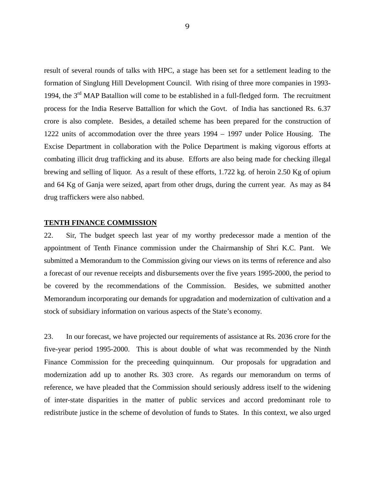result of several rounds of talks with HPC, a stage has been set for a settlement leading to the formation of Singlung Hill Development Council. With rising of three more companies in 1993- 1994, the 3<sup>rd</sup> MAP Batallion will come to be established in a full-fledged form. The recruitment process for the India Reserve Battallion for which the Govt. of India has sanctioned Rs. 6.37 crore is also complete. Besides, a detailed scheme has been prepared for the construction of 1222 units of accommodation over the three years 1994 – 1997 under Police Housing. The Excise Department in collaboration with the Police Department is making vigorous efforts at combating illicit drug trafficking and its abuse. Efforts are also being made for checking illegal brewing and selling of liquor. As a result of these efforts, 1.722 kg. of heroin 2.50 Kg of opium and 64 Kg of Ganja were seized, apart from other drugs, during the current year. As may as 84 drug traffickers were also nabbed.

#### **TENTH FINANCE COMMISSION**

22. Sir, The budget speech last year of my worthy predecessor made a mention of the appointment of Tenth Finance commission under the Chairmanship of Shri K.C. Pant. We submitted a Memorandum to the Commission giving our views on its terms of reference and also a forecast of our revenue receipts and disbursements over the five years 1995-2000, the period to be covered by the recommendations of the Commission. Besides, we submitted another Memorandum incorporating our demands for upgradation and modernization of cultivation and a stock of subsidiary information on various aspects of the State's economy.

23. In our forecast, we have projected our requirements of assistance at Rs. 2036 crore for the five-year period 1995-2000. This is about double of what was recommended by the Ninth Finance Commission for the preceeding quinquinnum. Our proposals for upgradation and modernization add up to another Rs. 303 crore. As regards our memorandum on terms of reference, we have pleaded that the Commission should seriously address itself to the widening of inter-state disparities in the matter of public services and accord predominant role to redistribute justice in the scheme of devolution of funds to States. In this context, we also urged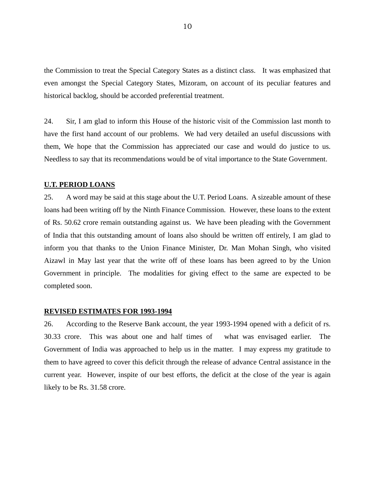the Commission to treat the Special Category States as a distinct class. It was emphasized that even amongst the Special Category States, Mizoram, on account of its peculiar features and historical backlog, should be accorded preferential treatment.

24. Sir, I am glad to inform this House of the historic visit of the Commission last month to have the first hand account of our problems. We had very detailed an useful discussions with them, We hope that the Commission has appreciated our case and would do justice to us. Needless to say that its recommendations would be of vital importance to the State Government.

#### **U.T. PERIOD LOANS**

25. A word may be said at this stage about the U.T. Period Loans. A sizeable amount of these loans had been writing off by the Ninth Finance Commission. However, these loans to the extent of Rs. 50.62 crore remain outstanding against us. We have been pleading with the Government of India that this outstanding amount of loans also should be written off entirely, I am glad to inform you that thanks to the Union Finance Minister, Dr. Man Mohan Singh, who visited Aizawl in May last year that the write off of these loans has been agreed to by the Union Government in principle. The modalities for giving effect to the same are expected to be completed soon.

#### **REVISED ESTIMATES FOR 1993-1994**

26. According to the Reserve Bank account, the year 1993-1994 opened with a deficit of rs. 30.33 crore. This was about one and half times of what was envisaged earlier. The Government of India was approached to help us in the matter. I may express my gratitude to them to have agreed to cover this deficit through the release of advance Central assistance in the current year. However, inspite of our best efforts, the deficit at the close of the year is again likely to be Rs. 31.58 crore.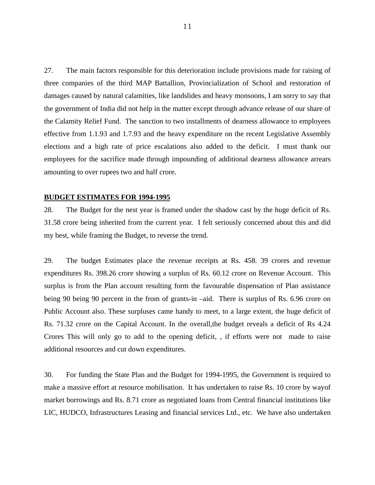27. The main factors responsible for this deterioration include provisions made for raising of three companies of the third MAP Battallion, Provincialization of School and restoration of damages caused by natural calamities, like landslides and heavy monsoons, I am sorry to say that the government of India did not help in the matter except through advance release of our share of the Calamity Relief Fund. The sanction to two installments of dearness allowance to employees effective from 1.1.93 and 1.7.93 and the heavy expenditure on the recent Legislative Assembly elections and a high rate of price escalations also added to the deficit. I must thank our employees for the sacrifice made through impounding of additional dearness allowance arrears amounting to over rupees two and half crore.

#### **BUDGET ESTIMATES FOR 1994-1995**

28. The Budget for the nest year is framed under the shadow cast by the huge deficit of Rs. 31.58 crore being inherited from the current year. I felt seriously concerned about this and did my best, while framing the Budget, to reverse the trend.

29. The budget Estimates place the revenue receipts at Rs. 458. 39 crores and revenue expenditures Rs. 398.26 crore showing a surplus of Rs. 60.12 crore on Revenue Account. This surplus is from the Plan account resulting form the favourable dispensation of Plan assistance being 90 being 90 percent in the from of grants-in –aid. There is surplus of Rs. 6.96 crore on Public Account also. These surpluses came handy to meet, to a large extent, the huge deficit of Rs. 71.32 crore on the Capital Account. In the overall,the budget reveals a deficit of Rs 4.24 Crores This will only go to add to the opening deficit, , if efforts were not made to raise additional resources and cut down expenditures.

30. For funding the State Plan and the Budget for 1994-1995, the Government is required to make a massive effort at resource mobilisation. It has undertaken to raise Rs. 10 crore by wayof market borrowings and Rs. 8.71 crore as negotiated loans from Central financial institutions like LIC, HUDCO, Infrastructures Leasing and financial services Ltd., etc. We have also undertaken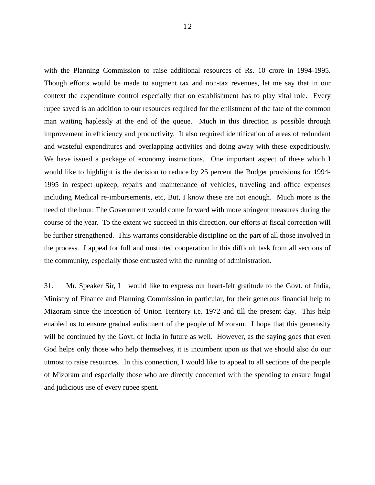with the Planning Commission to raise additional resources of Rs. 10 crore in 1994-1995. Though efforts would be made to augment tax and non-tax revenues, let me say that in our context the expenditure control especially that on establishment has to play vital role. Every rupee saved is an addition to our resources required for the enlistment of the fate of the common man waiting haplessly at the end of the queue. Much in this direction is possible through improvement in efficiency and productivity. It also required identification of areas of redundant and wasteful expenditures and overlapping activities and doing away with these expeditiously. We have issued a package of economy instructions. One important aspect of these which I would like to highlight is the decision to reduce by 25 percent the Budget provisions for 1994- 1995 in respect upkeep, repairs and maintenance of vehicles, traveling and office expenses including Medical re-imbursements, etc, But, I know these are not enough. Much more is the need of the hour. The Government would come forward with more stringent measures during the course of the year. To the extent we succeed in this direction, our efforts at fiscal correction will be further strengthened. This warrants considerable discipline on the part of all those involved in the process. I appeal for full and unstinted cooperation in this difficult task from all sections of the community, especially those entrusted with the running of administration.

31. Mr. Speaker Sir, I would like to express our heart-felt gratitude to the Govt. of India, Ministry of Finance and Planning Commission in particular, for their generous financial help to Mizoram since the inception of Union Territory i.e. 1972 and till the present day. This help enabled us to ensure gradual enlistment of the people of Mizoram. I hope that this generosity will be continued by the Govt. of India in future as well. However, as the saying goes that even God helps only those who help themselves, it is incumbent upon us that we should also do our utmost to raise resources. In this connection, I would like to appeal to all sections of the people of Mizoram and especially those who are directly concerned with the spending to ensure frugal and judicious use of every rupee spent.